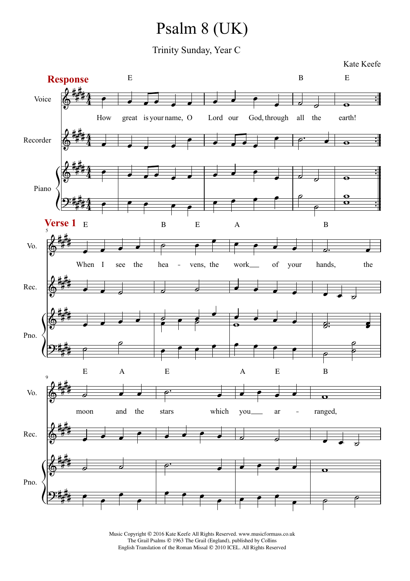## Psalm 8 (UK)

Trinity Sunday, Year C

Kate Keefe



Music Copyright © 2016 Kate Keefe All Rights Reserved. www.musicformass.co.uk The Grail Psalms © 1963 The Grail (England), published by Collins English Translation of the Roman Missal © 2010 ICEL. All Rights Reserved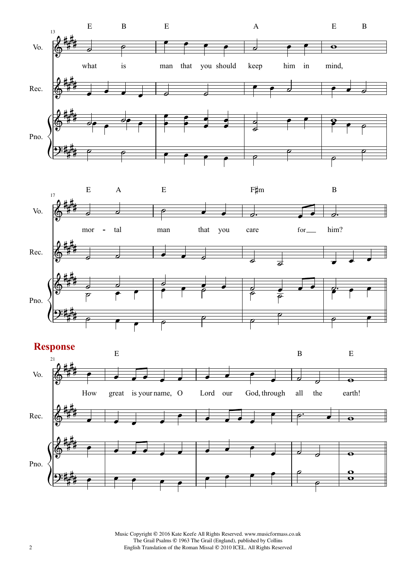





2 English Translation of the Roman Missal © 2010 ICEL. All Rights Reserved Music Copyright © 2016 Kate Keefe All Rights Reserved. www.musicformass.co.uk The Grail Psalms © 1963 The Grail (England), published by Collins English Translation of the Roman Missal © 2010 ICEL. All Rights Reserved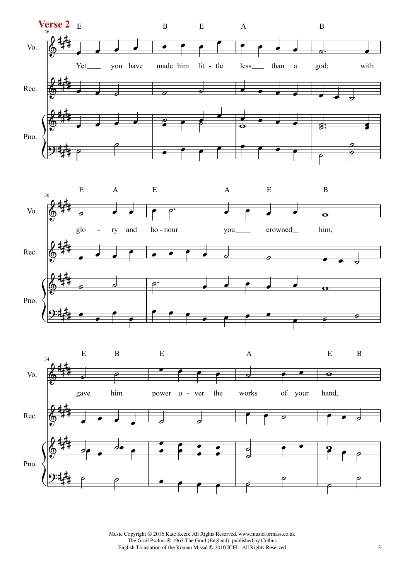

Music Copyright © 2016 Kate Keefe All Rights Reserved. www.musicformass.co.uk The Grail Psalms © 1963 The Grail (England), published by Collins English Translation of the Roman Missal © 2010 ICEL. All Rights Reserved 3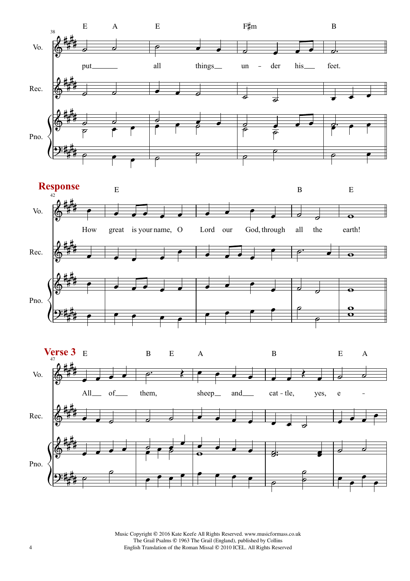





4 English Translation of the Roman Missal © 2010 ICEL. All Rights Reserved Music Copyright © 2016 Kate Keefe All Rights Reserved. www.musicformass.co.uk The Grail Psalms © 1963 The Grail (England), published by Collins English Translation of the Roman Missal © 2010 ICEL. All Rights Reserved